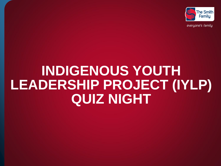

# **INDIGENOUS YOUTH LEADERSHIP PROJECT (IYLP) QUIZ NIGHT**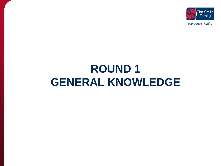

# **ROUND 1 GENERAL KNOWLEDGE**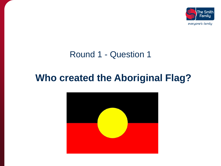

### **Who created the Aboriginal Flag?**

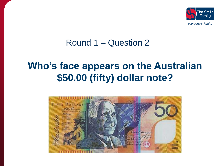

## **Who's face appears on the Australian \$50.00 (fifty) dollar note?**

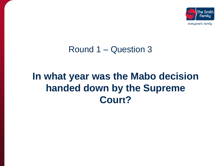

## **In what year was the Mabo decision handed down by the Supreme Court?**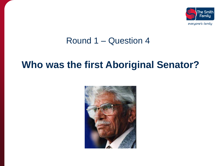

### **Who was the first Aboriginal Senator?**

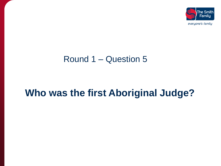

### Round 1 – Question 5

### **Who was the first Aboriginal Judge?**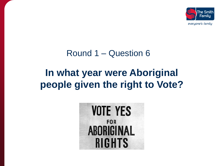

# **In what year were Aboriginal people given the right to Vote?**

### Round 1 – Question 6

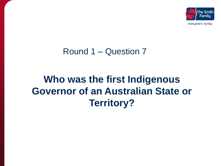

## **Who was the first Indigenous Governor of an Australian State or Territory?**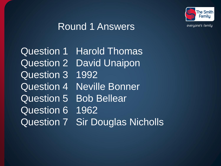

### Round 1 Answers

Question 1 Harold Thomas Question 2 David Unaipon Question 3 1992 Question 4 Neville Bonner Question 5 Bob Bellear Question 6 1962 Question 7 Sir Douglas Nicholls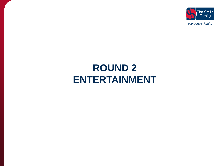

## **ROUND 2 ENTERTAINMENT**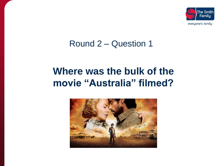

## **Where was the bulk of the movie "Australia" filmed?**

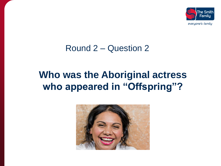

## **Who was the Aboriginal actress who appeared in "Offspring"?**

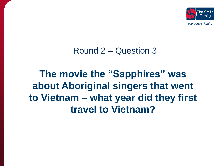

**The movie the "Sapphires" was about Aboriginal singers that went to Vietnam – what year did they first travel to Vietnam?**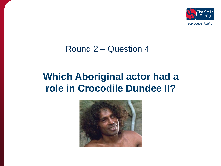

### **Which Aboriginal actor had a role in Crocodile Dundee II?**

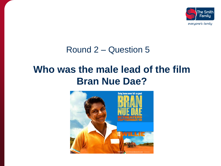

### **Who was the male lead of the film Bran Nue Dae?**

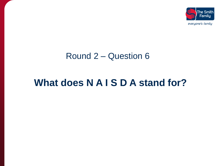

### Round 2 – Question 6

## **What does N A I S D A stand for?**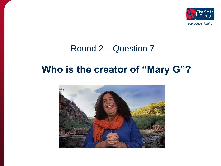

### **Who is the creator of "Mary G"?**

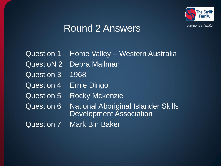

### Round 2 Answers

|                   | <b>Question 1 Home Valley - Western Australia</b>                     |
|-------------------|-----------------------------------------------------------------------|
| <b>QuestioN 2</b> | <b>Debra Mailman</b>                                                  |
| <b>Question 3</b> | 1968                                                                  |
| <b>Question 4</b> | <b>Ernie Dingo</b>                                                    |
| <b>Question 5</b> | <b>Rocky Mckenzie</b>                                                 |
| <b>Question 6</b> | National Aboriginal Islander Skills<br><b>Development Association</b> |
| <b>Question 7</b> | <b>Mark Bin Baker</b>                                                 |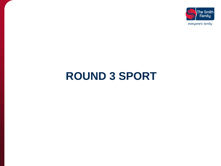

# **ROUND 3 SPORT**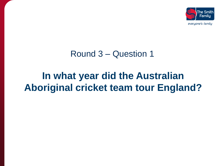

### **In what year did the Australian Aboriginal cricket team tour England?**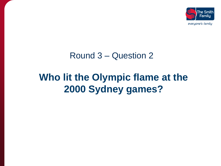

## **Who lit the Olympic flame at the 2000 Sydney games?**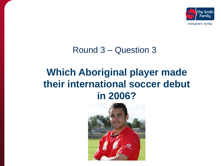

## **Which Aboriginal player made their international soccer debut in 2006?**

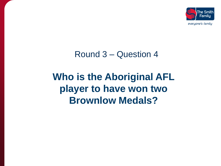

## **Who is the Aboriginal AFL player to have won two Brownlow Medals?**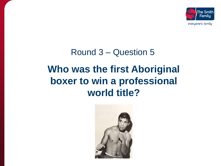

# Round 3 – Question 5 **Who was the first Aboriginal boxer to win a professional world title?**

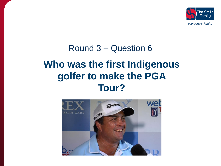

## Round 3 – Question 6 **Who was the first Indigenous golfer to make the PGA Tour?**

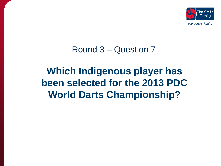

## **Which Indigenous player has been selected for the 2013 PDC World Darts Championship?**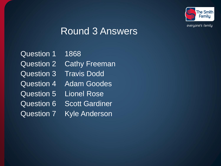

### Round 3 Answers

Question 1 1868 Question 2 Cathy Freeman Question 3 Travis Dodd Question 4 Adam Goodes Question 5 Lionel Rose Question 6 Scott Gardiner Question 7 Kyle Anderson